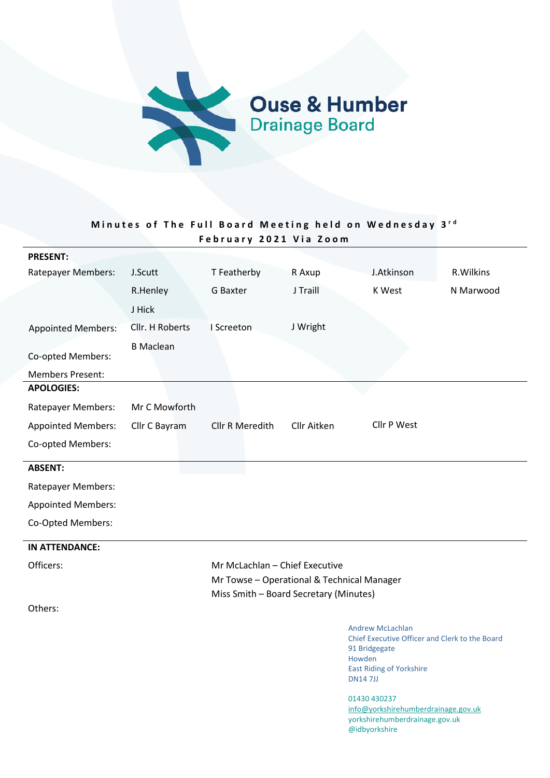

# Minutes of The Full Board Meeting held on Wednesday 3<sup>rd</sup> **Februa ry 2021 Via Zoom**

| <b>PRESENT:</b>           |                  |                                            |             |                                                                                            |           |
|---------------------------|------------------|--------------------------------------------|-------------|--------------------------------------------------------------------------------------------|-----------|
| Ratepayer Members:        | J.Scutt          | T Featherby                                | R Axup      | J.Atkinson                                                                                 | R.Wilkins |
|                           | R.Henley         | G Baxter                                   | J Traill    | K West                                                                                     | N Marwood |
|                           | J Hick           |                                            |             |                                                                                            |           |
| <b>Appointed Members:</b> | Cllr. H Roberts  | I Screeton                                 | J Wright    |                                                                                            |           |
|                           | <b>B</b> Maclean |                                            |             |                                                                                            |           |
| Co-opted Members:         |                  |                                            |             |                                                                                            |           |
| <b>Members Present:</b>   |                  |                                            |             |                                                                                            |           |
| <b>APOLOGIES:</b>         |                  |                                            |             |                                                                                            |           |
| <b>Ratepayer Members:</b> | Mr C Mowforth    |                                            |             |                                                                                            |           |
| <b>Appointed Members:</b> | Cllr C Bayram    | Cllr R Meredith                            | Cllr Aitken | Cllr P West                                                                                |           |
| Co-opted Members:         |                  |                                            |             |                                                                                            |           |
| <b>ABSENT:</b>            |                  |                                            |             |                                                                                            |           |
| <b>Ratepayer Members:</b> |                  |                                            |             |                                                                                            |           |
| <b>Appointed Members:</b> |                  |                                            |             |                                                                                            |           |
| Co-Opted Members:         |                  |                                            |             |                                                                                            |           |
| <b>IN ATTENDANCE:</b>     |                  |                                            |             |                                                                                            |           |
| Officers:                 |                  | Mr McLachlan - Chief Executive             |             |                                                                                            |           |
|                           |                  | Mr Towse - Operational & Technical Manager |             |                                                                                            |           |
|                           |                  | Miss Smith - Board Secretary (Minutes)     |             |                                                                                            |           |
| Others:                   |                  |                                            |             |                                                                                            |           |
|                           |                  |                                            |             | <b>Andrew McLachlan</b><br>Chief Executive Officer and Clerk to the Board<br>91 Bridgegate |           |

Howden East Riding of Yorkshire DN14 7JJ

01430 430237 info@yorkshirehumberdrainage.gov.uk yorkshirehumberdrainage.gov.uk @idbyorkshire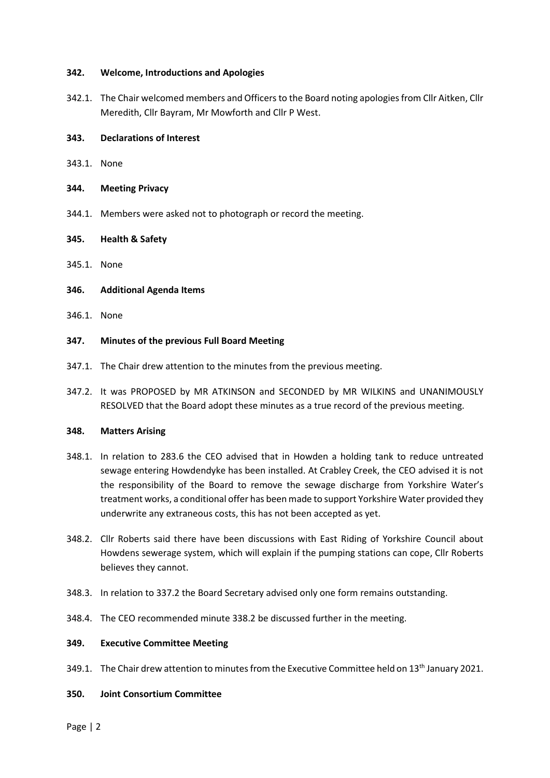#### **342. Welcome, Introductions and Apologies**

342.1. The Chair welcomed members and Officers to the Board noting apologies from Cllr Aitken, Cllr Meredith, Cllr Bayram, Mr Mowforth and Cllr P West.

#### **343. Declarations of Interest**

- 343.1. None
- **344. Meeting Privacy**
- 344.1. Members were asked not to photograph or record the meeting.

#### **345. Health & Safety**

345.1. None

#### **346. Additional Agenda Items**

346.1. None

#### **347. Minutes of the previous Full Board Meeting**

- 347.1. The Chair drew attention to the minutes from the previous meeting.
- 347.2. It was PROPOSED by MR ATKINSON and SECONDED by MR WILKINS and UNANIMOUSLY RESOLVED that the Board adopt these minutes as a true record of the previous meeting.

#### **348. Matters Arising**

- 348.1. In relation to 283.6 the CEO advised that in Howden a holding tank to reduce untreated sewage entering Howdendyke has been installed. At Crabley Creek, the CEO advised it is not the responsibility of the Board to remove the sewage discharge from Yorkshire Water's treatment works, a conditional offer has been made to support Yorkshire Water provided they underwrite any extraneous costs, this has not been accepted as yet.
- 348.2. Cllr Roberts said there have been discussions with East Riding of Yorkshire Council about Howdens sewerage system, which will explain if the pumping stations can cope, Cllr Roberts believes they cannot.
- 348.3. In relation to 337.2 the Board Secretary advised only one form remains outstanding.
- 348.4. The CEO recommended minute 338.2 be discussed further in the meeting.

#### **349. Executive Committee Meeting**

- 349.1. The Chair drew attention to minutes from the Executive Committee held on 13<sup>th</sup> January 2021.
- **350. Joint Consortium Committee**

Page | 2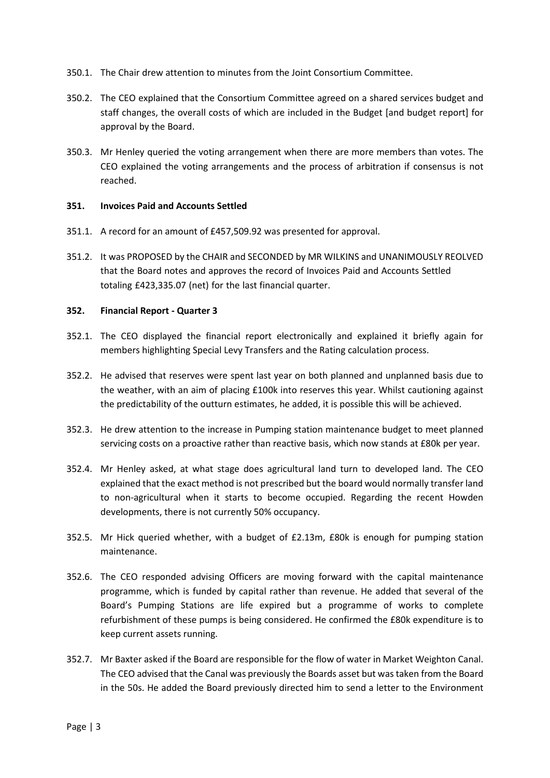- 350.1. The Chair drew attention to minutes from the Joint Consortium Committee.
- 350.2. The CEO explained that the Consortium Committee agreed on a shared services budget and staff changes, the overall costs of which are included in the Budget [and budget report] for approval by the Board.
- 350.3. Mr Henley queried the voting arrangement when there are more members than votes. The CEO explained the voting arrangements and the process of arbitration if consensus is not reached.

## **351. Invoices Paid and Accounts Settled**

- 351.1. A record for an amount of £457,509.92 was presented for approval.
- 351.2. It was PROPOSED by the CHAIR and SECONDED by MR WILKINS and UNANIMOUSLY REOLVED that the Board notes and approves the record of Invoices Paid and Accounts Settled totaling £423,335.07 (net) for the last financial quarter.

## **352. Financial Report - Quarter 3**

- 352.1. The CEO displayed the financial report electronically and explained it briefly again for members highlighting Special Levy Transfers and the Rating calculation process.
- 352.2. He advised that reserves were spent last year on both planned and unplanned basis due to the weather, with an aim of placing £100k into reserves this year. Whilst cautioning against the predictability of the outturn estimates, he added, it is possible this will be achieved.
- 352.3. He drew attention to the increase in Pumping station maintenance budget to meet planned servicing costs on a proactive rather than reactive basis, which now stands at £80k per year.
- 352.4. Mr Henley asked, at what stage does agricultural land turn to developed land. The CEO explained that the exact method is not prescribed but the board would normally transfer land to non-agricultural when it starts to become occupied. Regarding the recent Howden developments, there is not currently 50% occupancy.
- 352.5. Mr Hick queried whether, with a budget of £2.13m, £80k is enough for pumping station maintenance.
- 352.6. The CEO responded advising Officers are moving forward with the capital maintenance programme, which is funded by capital rather than revenue. He added that several of the Board's Pumping Stations are life expired but a programme of works to complete refurbishment of these pumps is being considered. He confirmed the £80k expenditure is to keep current assets running.
- 352.7. Mr Baxter asked if the Board are responsible for the flow of water in Market Weighton Canal. The CEO advised that the Canal was previously the Boards asset but was taken from the Board in the 50s. He added the Board previously directed him to send a letter to the Environment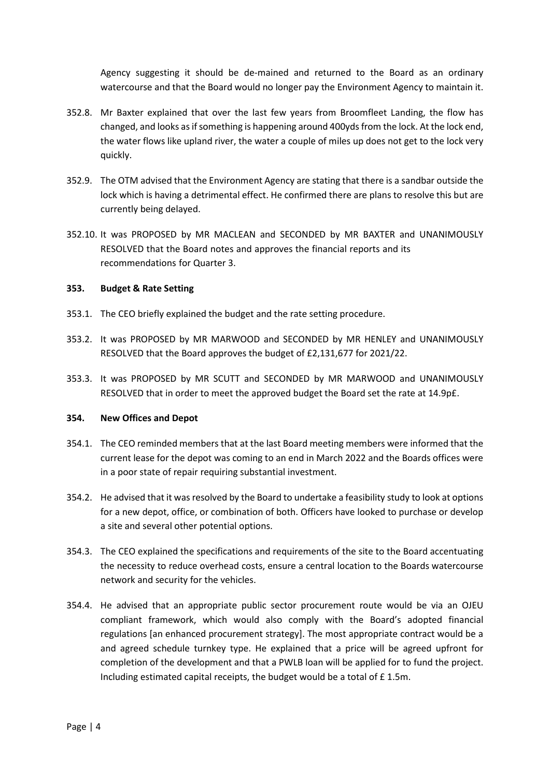Agency suggesting it should be de-mained and returned to the Board as an ordinary watercourse and that the Board would no longer pay the Environment Agency to maintain it.

- 352.8. Mr Baxter explained that over the last few years from Broomfleet Landing, the flow has changed, and looks as if something is happening around 400yds from the lock. At the lock end, the water flows like upland river, the water a couple of miles up does not get to the lock very quickly.
- 352.9. The OTM advised that the Environment Agency are stating that there is a sandbar outside the lock which is having a detrimental effect. He confirmed there are plans to resolve this but are currently being delayed.
- 352.10. It was PROPOSED by MR MACLEAN and SECONDED by MR BAXTER and UNANIMOUSLY RESOLVED that the Board notes and approves the financial reports and its recommendations for Quarter 3.

# **353. Budget & Rate Setting**

- 353.1. The CEO briefly explained the budget and the rate setting procedure.
- 353.2. It was PROPOSED by MR MARWOOD and SECONDED by MR HENLEY and UNANIMOUSLY RESOLVED that the Board approves the budget of £2,131,677 for 2021/22.
- 353.3. It was PROPOSED by MR SCUTT and SECONDED by MR MARWOOD and UNANIMOUSLY RESOLVED that in order to meet the approved budget the Board set the rate at 14.9p£.

## **354. New Offices and Depot**

- 354.1. The CEO reminded members that at the last Board meeting members were informed that the current lease for the depot was coming to an end in March 2022 and the Boards offices were in a poor state of repair requiring substantial investment.
- 354.2. He advised that it was resolved by the Board to undertake a feasibility study to look at options for a new depot, office, or combination of both. Officers have looked to purchase or develop a site and several other potential options.
- 354.3. The CEO explained the specifications and requirements of the site to the Board accentuating the necessity to reduce overhead costs, ensure a central location to the Boards watercourse network and security for the vehicles.
- 354.4. He advised that an appropriate public sector procurement route would be via an OJEU compliant framework, which would also comply with the Board's adopted financial regulations [an enhanced procurement strategy]. The most appropriate contract would be a and agreed schedule turnkey type. He explained that a price will be agreed upfront for completion of the development and that a PWLB loan will be applied for to fund the project. Including estimated capital receipts, the budget would be a total of £ 1.5m.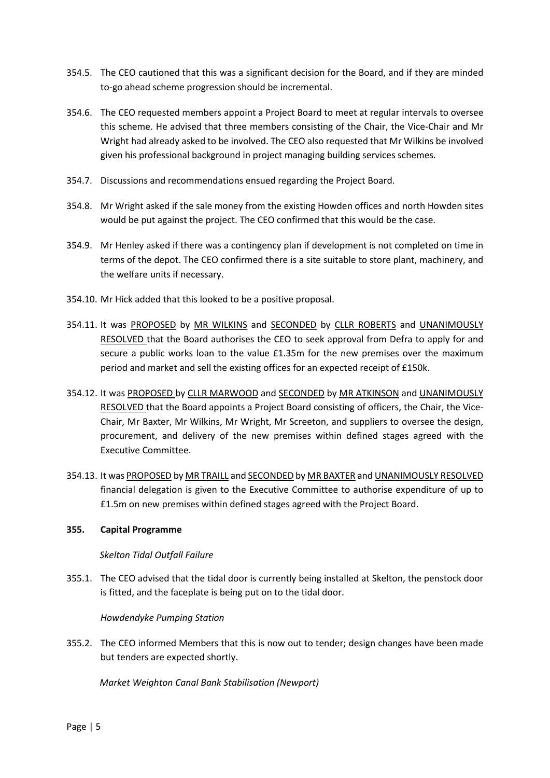- 354.5. The CEO cautioned that this was a significant decision for the Board, and if they are minded to-go ahead scheme progression should be incremental.
- 354.6. The CEO requested members appoint a Project Board to meet at regular intervals to oversee this scheme. He advised that three members consisting of the Chair, the Vice-Chair and Mr Wright had already asked to be involved. The CEO also requested that Mr Wilkins be involved given his professional background in project managing building services schemes.
- 354.7. Discussions and recommendations ensued regarding the Project Board.
- 354.8. Mr Wright asked if the sale money from the existing Howden offices and north Howden sites would be put against the project. The CEO confirmed that this would be the case.
- 354.9. Mr Henley asked if there was a contingency plan if development is not completed on time in terms of the depot. The CEO confirmed there is a site suitable to store plant, machinery, and the welfare units if necessary.
- 354.10. Mr Hick added that this looked to be a positive proposal.
- 354.11. It was PROPOSED by MR WILKINS and SECONDED by CLLR ROBERTS and UNANIMOUSLY RESOLVED that the Board authorises the CEO to seek approval from Defra to apply for and secure a public works loan to the value £1.35m for the new premises over the maximum period and market and sell the existing offices for an expected receipt of £150k.
- 354.12. It was PROPOSED by CLLR MARWOOD and SECONDED by MR ATKINSON and UNANIMOUSLY RESOLVED that the Board appoints a Project Board consisting of officers, the Chair, the Vice-Chair, Mr Baxter, Mr Wilkins, Mr Wright, Mr Screeton, and suppliers to oversee the design, procurement, and delivery of the new premises within defined stages agreed with the Executive Committee.
- 354.13. It was PROPOSED by MR TRAILL and SECONDED by MR BAXTER and UNANIMOUSLY RESOLVED financial delegation is given to the Executive Committee to authorise expenditure of up to £1.5m on new premises within defined stages agreed with the Project Board.

## **355. Capital Programme**

## *Skelton Tidal Outfall Failure*

355.1. The CEO advised that the tidal door is currently being installed at Skelton, the penstock door is fitted, and the faceplate is being put on to the tidal door.

## *Howdendyke Pumping Station*

355.2. The CEO informed Members that this is now out to tender; design changes have been made but tenders are expected shortly.

*Market Weighton Canal Bank Stabilisation (Newport)*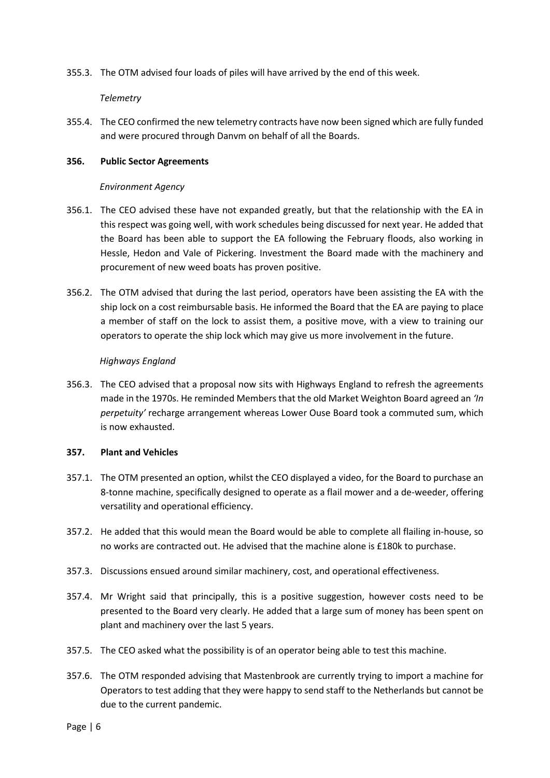355.3. The OTM advised four loads of piles will have arrived by the end of this week.

# *Telemetry*

355.4. The CEO confirmed the new telemetry contracts have now been signed which are fully funded and were procured through Danvm on behalf of all the Boards.

# **356. Public Sector Agreements**

# *Environment Agency*

- 356.1. The CEO advised these have not expanded greatly, but that the relationship with the EA in this respect was going well, with work schedules being discussed for next year. He added that the Board has been able to support the EA following the February floods, also working in Hessle, Hedon and Vale of Pickering. Investment the Board made with the machinery and procurement of new weed boats has proven positive.
- 356.2. The OTM advised that during the last period, operators have been assisting the EA with the ship lock on a cost reimbursable basis. He informed the Board that the EA are paying to place a member of staff on the lock to assist them, a positive move, with a view to training our operators to operate the ship lock which may give us more involvement in the future.

# *Highways England*

356.3. The CEO advised that a proposal now sits with Highways England to refresh the agreements made in the 1970s. He reminded Members that the old Market Weighton Board agreed an *'In perpetuity'* recharge arrangement whereas Lower Ouse Board took a commuted sum, which is now exhausted.

## **357. Plant and Vehicles**

- 357.1. The OTM presented an option, whilst the CEO displayed a video, for the Board to purchase an 8-tonne machine, specifically designed to operate as a flail mower and a de-weeder, offering versatility and operational efficiency.
- 357.2. He added that this would mean the Board would be able to complete all flailing in-house, so no works are contracted out. He advised that the machine alone is £180k to purchase.
- 357.3. Discussions ensued around similar machinery, cost, and operational effectiveness.
- 357.4. Mr Wright said that principally, this is a positive suggestion, however costs need to be presented to the Board very clearly. He added that a large sum of money has been spent on plant and machinery over the last 5 years.
- 357.5. The CEO asked what the possibility is of an operator being able to test this machine.
- 357.6. The OTM responded advising that Mastenbrook are currently trying to import a machine for Operators to test adding that they were happy to send staff to the Netherlands but cannot be due to the current pandemic.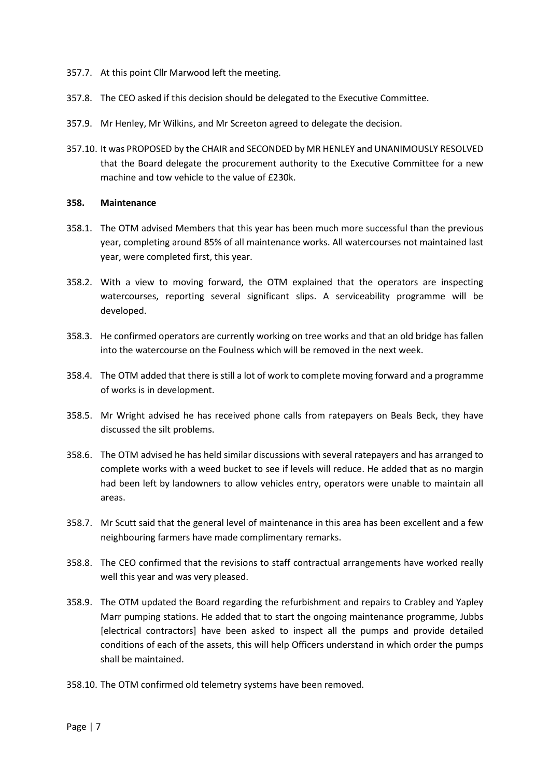- 357.7. At this point Cllr Marwood left the meeting.
- 357.8. The CEO asked if this decision should be delegated to the Executive Committee.
- 357.9. Mr Henley, Mr Wilkins, and Mr Screeton agreed to delegate the decision.
- 357.10. It was PROPOSED by the CHAIR and SECONDED by MR HENLEY and UNANIMOUSLY RESOLVED that the Board delegate the procurement authority to the Executive Committee for a new machine and tow vehicle to the value of £230k.

## **358. Maintenance**

- 358.1. The OTM advised Members that this year has been much more successful than the previous year, completing around 85% of all maintenance works. All watercourses not maintained last year, were completed first, this year.
- 358.2. With a view to moving forward, the OTM explained that the operators are inspecting watercourses, reporting several significant slips. A serviceability programme will be developed.
- 358.3. He confirmed operators are currently working on tree works and that an old bridge has fallen into the watercourse on the Foulness which will be removed in the next week.
- 358.4. The OTM added that there is still a lot of work to complete moving forward and a programme of works is in development.
- 358.5. Mr Wright advised he has received phone calls from ratepayers on Beals Beck, they have discussed the silt problems.
- 358.6. The OTM advised he has held similar discussions with several ratepayers and has arranged to complete works with a weed bucket to see if levels will reduce. He added that as no margin had been left by landowners to allow vehicles entry, operators were unable to maintain all areas.
- 358.7. Mr Scutt said that the general level of maintenance in this area has been excellent and a few neighbouring farmers have made complimentary remarks.
- 358.8. The CEO confirmed that the revisions to staff contractual arrangements have worked really well this year and was very pleased.
- 358.9. The OTM updated the Board regarding the refurbishment and repairs to Crabley and Yapley Marr pumping stations. He added that to start the ongoing maintenance programme, Jubbs [electrical contractors] have been asked to inspect all the pumps and provide detailed conditions of each of the assets, this will help Officers understand in which order the pumps shall be maintained.
- 358.10. The OTM confirmed old telemetry systems have been removed.